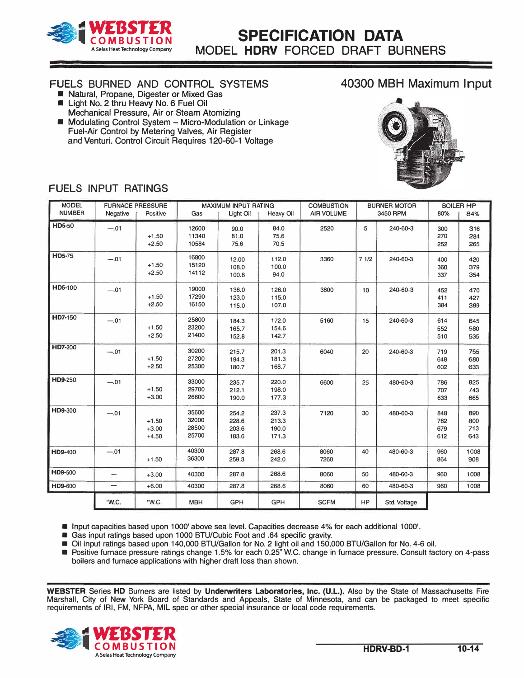

### FUELS BURNED AND CONTROL SYSTEMS

- Natural, Propane, Digester or Mixed Gas **E** Light No. 2 thru Heavy No. 6 Fuel Oil
- Mechanical Pressure, Air or Steam Atomizing • Modulating Control System - Micro-Modulation or Linkage Fuel-Air Control by Metering Valves, Air Register and Venturi. Control Circuit Requires 120-60-1 Voltage

# 40300 MBH Maximum Input



## FUELS INPUT RATINGS

| <b>MODEL</b><br><b>NUMBER</b> | Negative | <b>FURNACE PRESSURE</b><br>Positive | Gas                              | <b>MAXIMUM INPUT RATING</b><br>Light Oil | <b>Heavy Oil</b>                 | <b>COMBUSTION</b><br><b>AIR VOLUME</b> |           | <b>BURNER MOTOR</b><br>3450 RPM |                          | <b>BOILER HP</b><br>84%  |
|-------------------------------|----------|-------------------------------------|----------------------------------|------------------------------------------|----------------------------------|----------------------------------------|-----------|---------------------------------|--------------------------|--------------------------|
| <b>HD5-50</b>                 | $-.01$   | $+1.50$<br>$+2.50$                  | 12600<br>11340<br>10584          | 90.0<br>81.0<br>75.6                     | 84.0<br>75.6<br>70.5             | 2520                                   | 5         | 240-60-3                        | 300<br>270<br>252        | 316<br>284<br>265        |
| <b>HD5-75</b>                 | $-.01$   | $+1.50$<br>$+2.50$                  | 16800<br>15120<br>14112          | 12.00<br>108.0<br>100.8                  | 112.0<br>100.0<br>94.0           | 3360                                   | 71/2      | 240-60-3                        | 400<br>360<br>337        | 420<br>379<br>354        |
| <b>HD5-100</b>                | $-.01$   | $+1.50$<br>$+2.50$                  | 19000<br>17290<br>16150          | 136.0<br>123.0<br>115.0                  | 126.0<br>115.0<br>107.0          | 3800                                   | 10        | 240-60-3                        | 452<br>411<br>384        | 470<br>427<br>399        |
| HD7-150                       | $-.01$   | $+1.50$<br>$+2.50$                  | 25800<br>23200<br>21400          | 184.3<br>165.7<br>152.8                  | 172.0<br>154.6<br>142.7          | 5160                                   | 15        | 240-60-3                        | 614<br>552<br>510        | 645<br>580<br>535        |
| HD7-200                       | $-.01$   | $+1.50$<br>$+2.50$                  | 30200<br>27200<br>25300          | 215.7<br>194.3<br>180.7                  | 201.3<br>181.3<br>168.7          | 6040                                   | 20        | 240-60-3                        | 719<br>648<br>602        | 755<br>680<br>633        |
| HD9-250                       | $-.01$   | $+1.50$<br>$+3.00$                  | 33000<br>29700<br>26600          | 235.7<br>212.1<br>190.0                  | 220.0<br>198.0<br>177.3          | 6600                                   | 25        | 480-60-3                        | 786<br>707<br>633        | 825<br>743<br>665        |
| HD9-300                       | $-.01$   | $+1.50$<br>$+3.00$<br>$+4.50$       | 35600<br>32000<br>28500<br>25700 | 254.2<br>228.6<br>203.6<br>183.6         | 237.3<br>213.3<br>190.0<br>171.3 | 7120                                   | 30        | 480-60-3                        | 848<br>762<br>679<br>612 | 890<br>800<br>713<br>643 |
| HD9-400                       | $-.01$   | $+1.50$                             | 40300<br>36300                   | 287.8<br>259.3                           | 268.6<br>242.0                   | 8060<br>7260                           | 40        | 480-60-3                        | 960<br>864               | 1008<br>908              |
| <b>HD9-500</b>                | -        | $+3.00$                             | 40300                            | 287.8                                    | 268.6                            | 8060                                   | 50        | 480-60-3                        | 960                      | 1008                     |
| HD9-600                       |          | $+6.00$                             | 40300                            | 287.8                                    | 268.6                            | 8060                                   | 60        | 480-60-3                        | 960                      | 1008                     |
|                               | "W.C.    | "W.C.                               | <b>MBH</b>                       | GPH                                      | GPH                              | <b>SCFM</b>                            | <b>HP</b> | Std. Voltage                    |                          |                          |

**• Input capacities based upon 1000' above sea level. Capacities decrease 4% for each additional 1000'.**

**• Gas input ratings based upon 1000 BTU/Cubic Foot and .64 specific gravity.**

**• Oil input ratings based upon 140,000 BTU/Gallon for No. 2 light oil and 150,000 BTU/Gallon for No. 4-6 oil.**

**• Positive furnace pressure ratings change 1.5% for each 0.25" W.C. change in furnace pressure. Consult factory on 4-pass boilers and furnace applications with higher draft loss than shown.**

**WEBSTER Series HD Burners are listed by Underwriters Laboratories, Inc. (U.L.). Also by the State of Massachusetts Fire Marshall, City of New York Board of Standards and Appeals, State of Minnesota, and can be packaged to meet specific requirements of IRI, FM, NFPA, MIL spec or other special insurance or local code requirements .** 

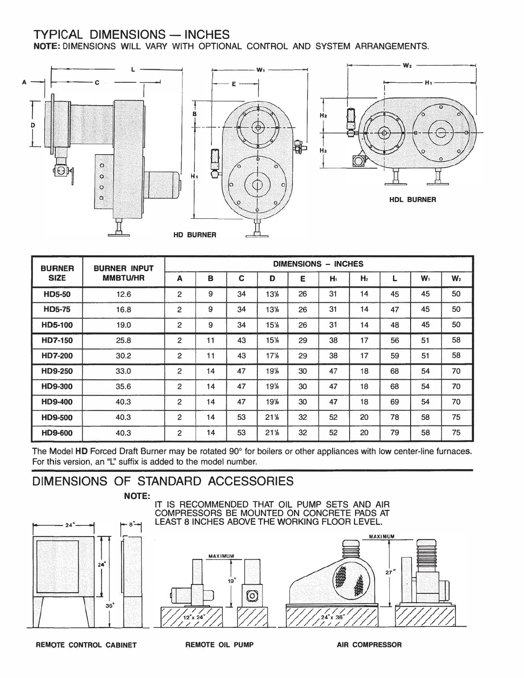## TYPICAL DIMENSIONS - INCHES

NOTE: DIMENSIONS WILL VARY WITH OPTIONAL CONTROL AND SYSTEM ARRANGEMENTS.



| <b>BURNER</b>  | <b>BURNER INPUT</b><br><b>MMBTU/HR</b> | <b>DIMENSIONS - INCHES</b> |    |    |                 |    |       |                |    |       |                |
|----------------|----------------------------------------|----------------------------|----|----|-----------------|----|-------|----------------|----|-------|----------------|
| <b>SIZE</b>    |                                        | A                          | B  | C  | D               | Е  | $H_t$ | H <sub>2</sub> | L  | $W_1$ | W <sub>2</sub> |
| <b>HD5-50</b>  | 12.6                                   | 2                          | 9  | 34 | 13%             | 26 | 31    | 14             | 45 | 45    | 50             |
| <b>HD5-75</b>  | 16.8                                   | 2                          | 9  | 34 | 13%             | 26 | 31    | 14             | 47 | 45    | 50             |
| HD5-100        | 19.0                                   | 2                          | 9  | 34 | 15%             | 26 | 31    | 14             | 48 | 45    | 50             |
| HD7-150        | 25.8                                   | 2                          | 11 | 43 | 15%             | 29 | 38    | 17             | 56 | 51    | 58             |
| <b>HD7-200</b> | 30.2                                   | 2                          | 11 | 43 | 17 <sup>1</sup> | 29 | 38    | 17             | 59 | 51    | 58             |
| <b>HD9-250</b> | 33.0                                   | 2                          | 14 | 47 | 19%             | 30 | 47    | 18             | 68 | 54    | 70             |
| <b>HD9-300</b> | 35.6                                   | 2                          | 14 | 47 | 19%             | 30 | 47    | 18             | 68 | 54    | 70             |
| <b>HD9-400</b> | 40.3                                   | 2                          | 14 | 47 | 19%             | 30 | 47    | 18             | 69 | 54    | 70             |
| <b>HD9-500</b> | 40.3                                   | 2                          | 14 | 53 | 21%             | 32 | 52    | 20             | 78 | 58    | 75             |
| HD9-600        | 40.3                                   | 2                          | 14 | 53 | 21%             | 32 | 52    | 20             | 79 | 58    | 75             |

The Model HD Forced Draft Burner may be rotated 90° for boilers or other appliances with low center-line furnaces. For this version, an "L" suffix is added to the model number.

# DIMENSIONS OF STANDARD ACCESSORIES

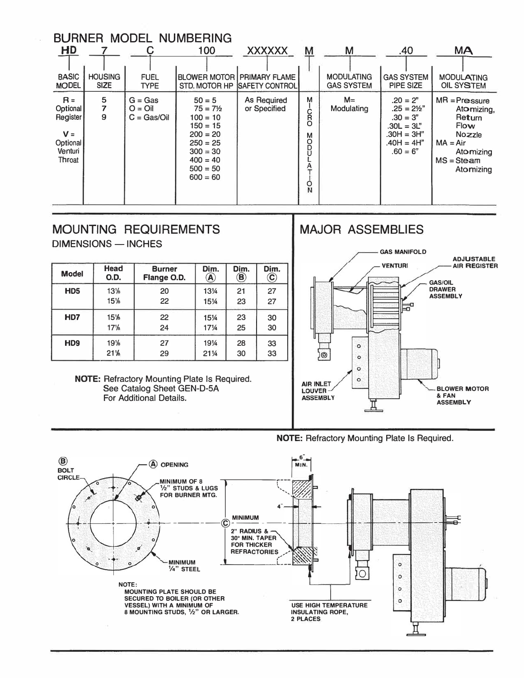| <b>BURNER MODEL NUMBERING</b>                                           |                               |                                        |                                                                                                                                                 |                                                                      |                                                                         |                                        |                                                                                                              |                                                                                                                          |  |  |
|-------------------------------------------------------------------------|-------------------------------|----------------------------------------|-------------------------------------------------------------------------------------------------------------------------------------------------|----------------------------------------------------------------------|-------------------------------------------------------------------------|----------------------------------------|--------------------------------------------------------------------------------------------------------------|--------------------------------------------------------------------------------------------------------------------------|--|--|
| HD                                                                      |                               | C                                      | 100                                                                                                                                             | <b>XXXXXX</b>                                                        | M                                                                       | M                                      | .40                                                                                                          | <b>MA</b>                                                                                                                |  |  |
| <b>BASIC</b><br><b>MODEL</b>                                            | <b>HOUSING</b><br><b>SIZE</b> | <b>FUEL</b><br><b>TYPE</b>             |                                                                                                                                                 | <b>BLOWER MOTOR   PRIMARY FLAME</b><br>STD, MOTOR HP ISAFETY CONTROL |                                                                         | <b>MODULATING</b><br><b>GAS SYSTEM</b> | <b>GAS SYSTEM</b><br>PIPE SIZE                                                                               | <b>MODULATING</b><br>OIL SYSTEM                                                                                          |  |  |
| $R =$<br>Optional<br>Register<br>$V =$<br>Optional<br>Venturi<br>Throat | $\frac{5}{7}$<br>9            | $G = Gas$<br>$Q = Q$<br>$C = Gas/O$ il | $50 = 5$<br>$75 = 7\frac{1}{2}$<br>$100 = 10$<br>$150 = 15$<br>$200 = 20$<br>$250 = 25$<br>$300 = 30$<br>$400 = 40$<br>$500 = 50$<br>$600 = 60$ | As Required<br>or Specified                                          | M<br>Ċ<br>R<br>O<br>M <sub>O</sub><br>D<br>А<br>$\overline{\mathsf{S}}$ | $M =$<br>Modulating                    | $.20 = 2"$<br>$.25 = 2\frac{1}{2}$<br>$.30 = 3"$<br>$.30L = 3L"$<br>.30H = 3H"<br>$.40H = 4H"$<br>$.60 = 6"$ | $MR = Preasure$<br>Atomizing,<br>Return<br><b>Flow</b><br>Nozzle<br>$MA = Air$<br>Atomizing<br>$MS = Steam$<br>Atomizing |  |  |

# MOUNTING REQUIREMENTS DIMENSIONS - INCHES

| <b>Model</b>                | Head<br>O.D.                   | <b>Burner</b><br>Flange O.D. | Dim.<br>A | Dim.<br>$\circledR$ | Dim.<br>$\mathbf{\widehat{c}}$ |  |  |  |  |
|-----------------------------|--------------------------------|------------------------------|-----------|---------------------|--------------------------------|--|--|--|--|
| H <sub>D5</sub>             | 13%                            | 20                           | 131⁄4     | 21                  | 27                             |  |  |  |  |
|                             | 15%                            | 22                           | 151⁄4     | 23                  | 27                             |  |  |  |  |
| H <sub>D</sub> 7            | 15%                            | 22                           | 151⁄4     | 23                  | 30                             |  |  |  |  |
|                             | 17 <sup>1</sup> / <sub>8</sub> | 24                           | 171/4     | 25                  | 30                             |  |  |  |  |
| H <sub>D</sub> <sub>9</sub> | 19%                            | 27                           | 1914      | 28                  | 33                             |  |  |  |  |
|                             | 21%                            | 29                           | 211/4     | 30                  | 33                             |  |  |  |  |

**NOTE:** Refractory Mounting Plate Is Required. See Catalog Sheet GEN-D-SA For Additional Details.

# MAJOR ASSEMBLIES



**NOTE:** Refractory Mounting Plate Is Required.